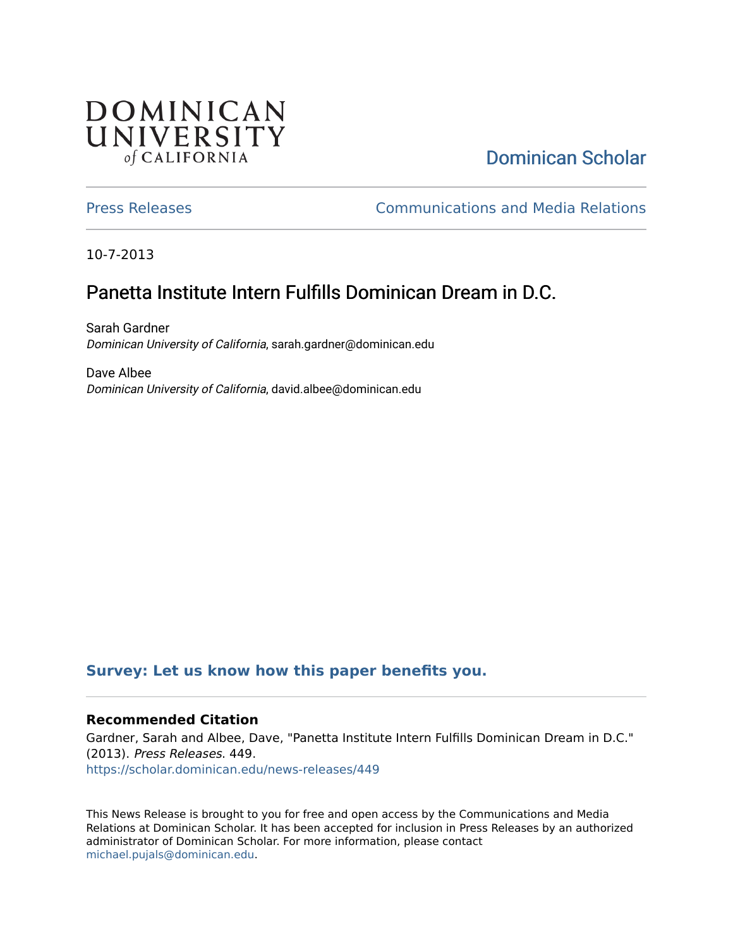## **DOMINICAN** UNIVERSITY of CALIFORNIA

# [Dominican Scholar](https://scholar.dominican.edu/)

[Press Releases](https://scholar.dominican.edu/news-releases) [Communications and Media Relations](https://scholar.dominican.edu/communications-media) 

10-7-2013

# Panetta Institute Intern Fulfills Dominican Dream in D.C.

Sarah Gardner Dominican University of California, sarah.gardner@dominican.edu

Dave Albee Dominican University of California, david.albee@dominican.edu

### **[Survey: Let us know how this paper benefits you.](https://dominican.libwizard.com/dominican-scholar-feedback)**

#### **Recommended Citation**

Gardner, Sarah and Albee, Dave, "Panetta Institute Intern Fulfills Dominican Dream in D.C." (2013). Press Releases. 449. [https://scholar.dominican.edu/news-releases/449](https://scholar.dominican.edu/news-releases/449?utm_source=scholar.dominican.edu%2Fnews-releases%2F449&utm_medium=PDF&utm_campaign=PDFCoverPages)

This News Release is brought to you for free and open access by the Communications and Media Relations at Dominican Scholar. It has been accepted for inclusion in Press Releases by an authorized administrator of Dominican Scholar. For more information, please contact [michael.pujals@dominican.edu.](mailto:michael.pujals@dominican.edu)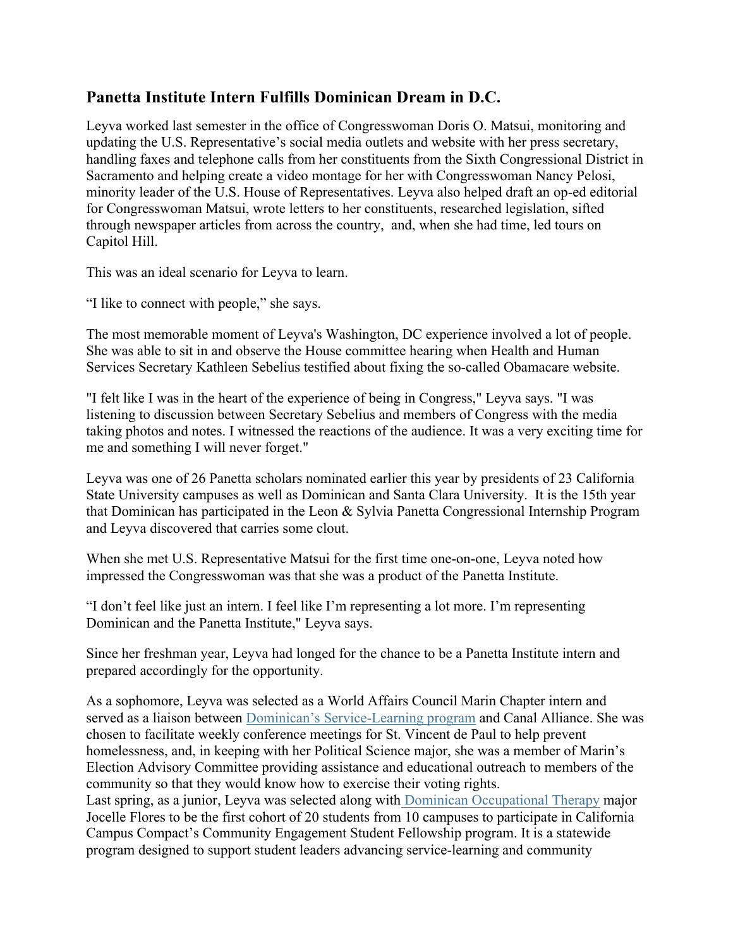### **Panetta Institute Intern Fulfills Dominican Dream in D.C.**

Leyva worked last semester in the office of Congresswoman Doris O. Matsui, monitoring and updating the U.S. Representative's social media outlets and website with her press secretary, handling faxes and telephone calls from her constituents from the Sixth Congressional District in Sacramento and helping create a video montage for her with Congresswoman Nancy Pelosi, minority leader of the U.S. House of Representatives. Leyva also helped draft an op-ed editorial for Congresswoman Matsui, wrote letters to her constituents, researched legislation, sifted through newspaper articles from across the country, and, when she had time, led tours on Capitol Hill.

This was an ideal scenario for Leyva to learn.

"I like to connect with people," she says.

The most memorable moment of Leyva's Washington, DC experience involved a lot of people. She was able to sit in and observe the House committee hearing when Health and Human Services Secretary Kathleen Sebelius testified about fixing the so-called Obamacare website.

"I felt like I was in the heart of the experience of being in Congress," Leyva says. "I was listening to discussion between Secretary Sebelius and members of Congress with the media taking photos and notes. I witnessed the reactions of the audience. It was a very exciting time for me and something I will never forget."

Leyva was one of 26 Panetta scholars nominated earlier this year by presidents of 23 California State University campuses as well as Dominican and Santa Clara University. It is the 15th year that Dominican has participated in the Leon & Sylvia Panetta Congressional Internship Program and Leyva discovered that carries some clout.

When she met U.S. Representative Matsui for the first time one-on-one, Leyva noted how impressed the Congresswoman was that she was a product of the Panetta Institute.

"I don't feel like just an intern. I feel like I'm representing a lot more. I'm representing Dominican and the Panetta Institute," Leyva says.

Since her freshman year, Leyva had longed for the chance to be a Panetta Institute intern and prepared accordingly for the opportunity.

As a sophomore, Leyva was selected as a World Affairs Council Marin Chapter intern and served as a liaison between Dominican's Service-Learning program and Canal Alliance. She was chosen to facilitate weekly conference meetings for St. Vincent de Paul to help prevent homelessness, and, in keeping with her Political Science major, she was a member of Marin's Election Advisory Committee providing assistance and educational outreach to members of the community so that they would know how to exercise their voting rights. Last spring, as a junior, Leyva was selected along with Dominican Occupational Therapy major Jocelle Flores to be the first cohort of 20 students from 10 campuses to participate in California Campus Compact's Community Engagement Student Fellowship program. It is a statewide program designed to support student leaders advancing service-learning and community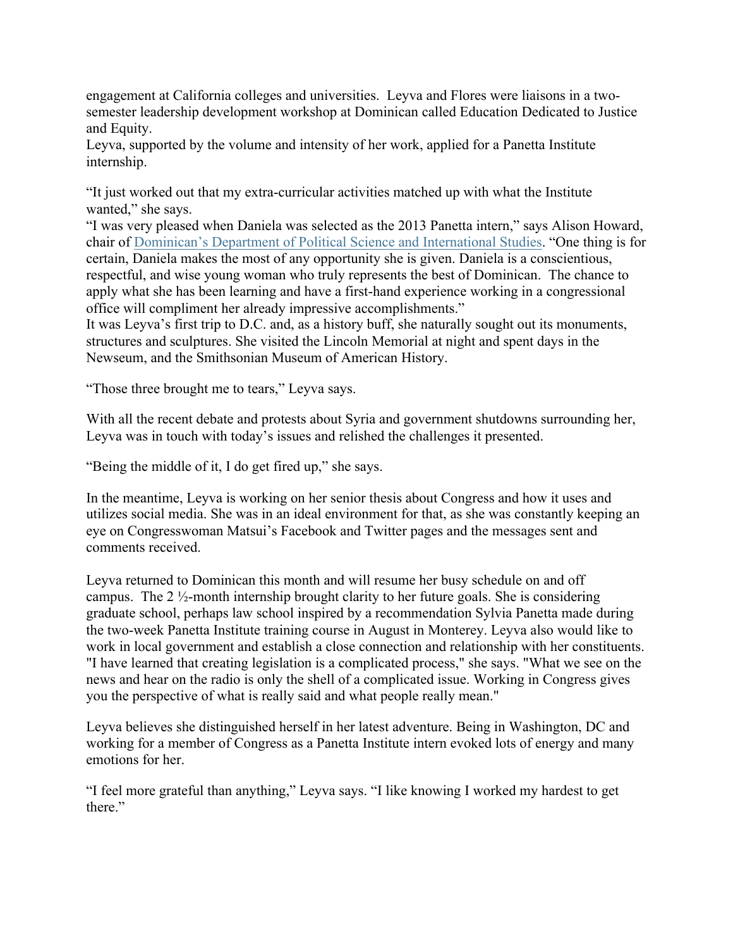engagement at California colleges and universities. Leyva and Flores were liaisons in a twosemester leadership development workshop at Dominican called Education Dedicated to Justice and Equity.

Leyva, supported by the volume and intensity of her work, applied for a Panetta Institute internship.

"It just worked out that my extra-curricular activities matched up with what the Institute wanted," she says.

"I was very pleased when Daniela was selected as the 2013 Panetta intern," says Alison Howard, chair of Dominican's Department of Political Science and International Studies. "One thing is for certain, Daniela makes the most of any opportunity she is given. Daniela is a conscientious, respectful, and wise young woman who truly represents the best of Dominican. The chance to apply what she has been learning and have a first-hand experience working in a congressional office will compliment her already impressive accomplishments."

It was Leyva's first trip to D.C. and, as a history buff, she naturally sought out its monuments, structures and sculptures. She visited the Lincoln Memorial at night and spent days in the Newseum, and the Smithsonian Museum of American History.

"Those three brought me to tears," Leyva says.

With all the recent debate and protests about Syria and government shutdowns surrounding her, Leyva was in touch with today's issues and relished the challenges it presented.

"Being the middle of it, I do get fired up," she says.

In the meantime, Leyva is working on her senior thesis about Congress and how it uses and utilizes social media. She was in an ideal environment for that, as she was constantly keeping an eye on Congresswoman Matsui's Facebook and Twitter pages and the messages sent and comments received.

Leyva returned to Dominican this month and will resume her busy schedule on and off campus. The 2 ½-month internship brought clarity to her future goals. She is considering graduate school, perhaps law school inspired by a recommendation Sylvia Panetta made during the two-week Panetta Institute training course in August in Monterey. Leyva also would like to work in local government and establish a close connection and relationship with her constituents. "I have learned that creating legislation is a complicated process," she says. "What we see on the news and hear on the radio is only the shell of a complicated issue. Working in Congress gives you the perspective of what is really said and what people really mean."

Leyva believes she distinguished herself in her latest adventure. Being in Washington, DC and working for a member of Congress as a Panetta Institute intern evoked lots of energy and many emotions for her.

"I feel more grateful than anything," Leyva says. "I like knowing I worked my hardest to get there."